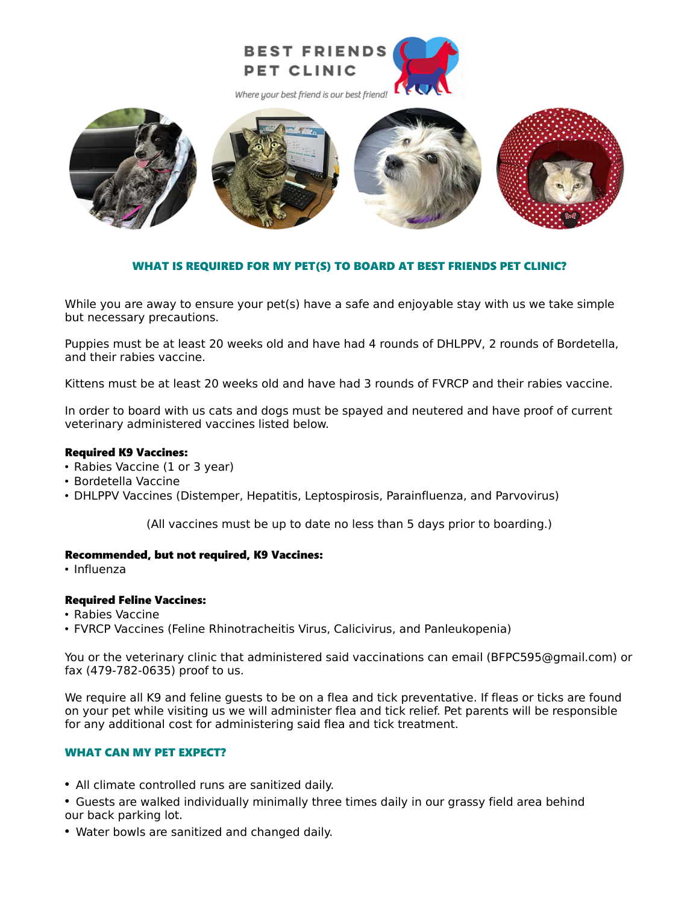

Where your best friend is our best friend!



## WHAT IS REQUIRED FOR MY PET(S) TO BOARD AT BEST FRIENDS PET CLINIC?

While you are away to ensure your pet(s) have a safe and enjoyable stay with us we take simple but necessary precautions.

Puppies must be at least 20 weeks old and have had 4 rounds of DHLPPV, 2 rounds of Bordetella, and their rabies vaccine.

Kittens must be at least 20 weeks old and have had 3 rounds of FVRCP and their rabies vaccine.

In order to board with us cats and dogs must be spayed and neutered and have proof of current veterinary administered vaccines listed below.

### Required K9 Vaccines:

- Rabies Vaccine (1 or 3 year)
- Bordetella Vaccine
- DHLPPV Vaccines (Distemper, Hepatitis, Leptospirosis, Parainfluenza, and Parvovirus)

(All vaccines must be up to date no less than 5 days prior to boarding.)

### Recommended, but not required, K9 Vaccines:

• Influenza

## Required Feline Vaccines:

- Rabies Vaccine
- FVRCP Vaccines (Feline Rhinotracheitis Virus, Calicivirus, and Panleukopenia)

You or the veterinary clinic that administered said vaccinations can email (BFPC595@gmail.com) or fax (479-782-0635) proof to us.

We require all K9 and feline guests to be on a flea and tick preventative. If fleas or ticks are found on your pet while visiting us we will administer flea and tick relief. Pet parents will be responsible for any additional cost for administering said flea and tick treatment.

# WHAT CAN MY PET EXPECT?

- All climate controlled runs are sanitized daily.
- Guests are walked individually minimally three times daily in our grassy field area behind our back parking lot.
- Water bowls are sanitized and changed daily.